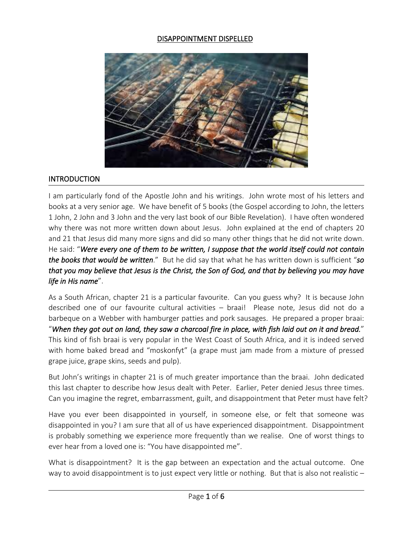#### DISAPPOINTMENT DISPELLED



#### **INTRODUCTION**

I am particularly fond of the Apostle John and his writings. John wrote most of his letters and books at a very senior age. We have benefit of 5 books (the Gospel according to John, the letters 1 John, 2 John and 3 John and the very last book of our Bible Revelation). I have often wondered why there was not more written down about Jesus. John explained at the end of chapters 20 and 21 that Jesus did many more signs and did so many other things that he did not write down. He said: "*Were every one of them to be written, I suppose that the world itself could not contain the books that would be written*." But he did say that what he has written down is sufficient "*so* that you may believe that Jesus is the Christ, the Son of God, and that by believing you may have *life in His name*".

As a South African, chapter 21 is a particular favourite. Can you guesswhy? It is because John described one of our favourite cultural activities – braai! Please note, Jesus did not do a barbeque on a Webber with hamburger patties and pork sausages. He prepared a proper braai: "When they got out on land, they saw a charcoal fire in place, with fish laid out on it and bread." This kind of fish braai is very popular in the West Coast of South Africa, and it is indeed served with home baked bread and "moskonfyt" (a grape must jam made from a mixture of pressed grape juice, grape skins, seeds and pulp).

But John's writings in chapter 21 is of much greater importance than the braai. John dedicated this last chapter to describe how Jesus dealt with Peter. Earlier, Peter denied Jesus three times. Can you imagine the regret, embarrassment, guilt, and disappointment that Peter must have felt?

Have you ever been disappointed in yourself, in someone else, or felt that someone was disappointed in you? I am sure that all of us have experienced disappointment. Disappointment is probably something we experience more frequently than we realise. One of worst things to ever hear from a loved one is: "You have disappointed me".

What is disappointment? It is the gap between an expectation and the actual outcome. One way to avoid disappointment is to just expect very little or nothing. But that is also not realistic  $-$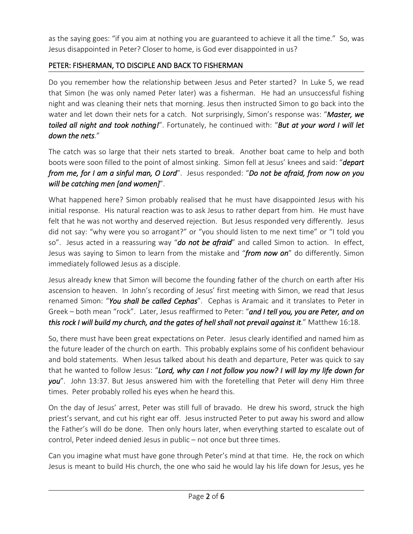as the saying goes: "if you aim at nothing you are guaranteed to achieve it all the time." So, was Jesus disappointed in Peter? Closer to home, is God ever disappointed in us?

# PETER: FISHERMAN, TO DISCIPLE AND BACK TO FISHERMAN

Do you remember how the relationship between Jesus and Peter started? In Luke 5, we read that Simon (he was only named Peter later) was a fisherman. He had an unsuccessful fishing night and was cleaning their nets that morning. Jesus then instructed Simon to go back into the water and let down their nets for a catch. Not surprisingly, Simon's response was: "*Master, we toiled all night and took nothing!*". Fortunately, he continued with: "*But at your word I will let down the nets*."

The catch was so large that their nets started to break. Another boat came to help and both boots were soon filled to the point of almost sinking. Simon fell at Jesus' knees and said: "*depart from me, for I am a sinful man, O Lord*". Jesus responded: "*Do not be afraid, from now on you will be catching men [and women]*".

What happened here? Simon probably realised that he must have disappointed Jesus with his initial response. His natural reaction was to ask Jesus to rather depart from him. He must have felt that he was not worthy and deserved rejection. But Jesus responded very differently. Jesus did not say: "why were you so arrogant?" or "you should listen to me next time" or "I told you so". Jesus acted in a reassuring way "*do not be afraid*" and called Simon to action. In effect, Jesus was saying to Simon to learn from the mistake and "*from now on*" do differently. Simon immediately followed Jesus as a disciple.

Jesus already knew that Simon will become the founding father of the church on earth after His ascension to heaven. In John's recording of Jesus' first meeting with Simon, we read that Jesus renamed Simon: "*You shall be called Cephas*". Cephas is Aramaic and it translates to Peter in Greek – both mean "rock". Later, Jesus reaffirmed to Peter: "*and I tell you, you are Peter, and on this rock I will build my church, and the gates of hell shall not prevail against it*." Matthew 16:18.

So, there must have been great expectations on Peter. Jesus clearly identified and named him as the future leader of the church on earth. This probably explains some of his confident behaviour and bold statements. When Jesus talked about his death and departure, Peter was quick to say that he wanted to follow Jesus: "*Lord, why can I not follow you now? I will lay my life down for you*". John 13:37. But Jesus answered him with the foretelling that Peter will deny Him three times. Peter probably rolled his eyes when he heard this.

On the day of Jesus' arrest, Peter was still full of bravado. He drew his sword, struck the high priest's servant, and cut his right ear off. Jesus instructed Peter to put away his sword and allow the Father's will do be done. Then only hours later, when everything started to escalate out of control, Peter indeed denied Jesus in public – not once but three times.

Can you imagine what must have gone through Peter's mind at that time. He, the rock on which Jesus is meant to build His church, the one who said he would lay his life down for Jesus, yes he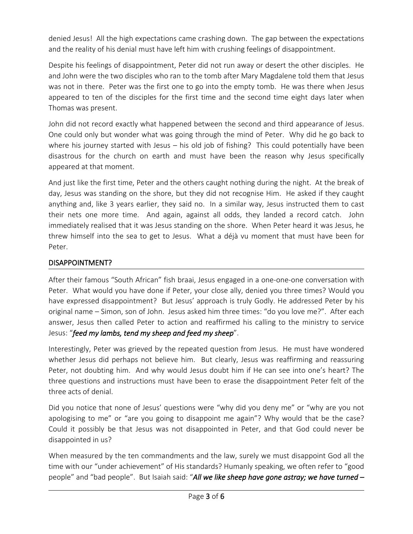denied Jesus! All the high expectations came crashing down. The gap between the expectations and the reality of his denial must have left him with crushing feelings of disappointment.

Despite his feelings of disappointment, Peter did not run away or desert the other disciples. He and John were the two disciples who ran to the tomb after Mary Magdalene told them that Jesus was not in there. Peter was the first one to go into the empty tomb. He was there when Jesus appeared to ten of the disciples for the first time and the second time eight days later when Thomas was present.

John did not record exactly what happened between the second and third appearance of Jesus. One could only but wonder what was going through the mind of Peter. Why did he go back to where his journey started with Jesus – his old job of fishing? This could potentially have been disastrous for the church on earth and must have been the reason why Jesus specifically appeared at that moment.

And just like the first time, Peter and the others caught nothing during the night. At the break of day, Jesus was standing on the shore, but they did not recognise Him. He asked if they caught anything and, like 3 years earlier, they said no. In a similar way, Jesus instructed them to cast their nets one more time. And again, against all odds, they landed a record catch. John immediately realised that it was Jesus standing on the shore. When Peter heard it was Jesus, he threw himself into the sea to get to Jesus. What a déjà vu moment that must have been for Peter.

### DISAPPOINTMENT?

After their famous "South African" fish braai, Jesus engaged in a one-one-one conversation with Peter. What would you have done if Peter, your close ally, denied you three times? Would you have expressed disappointment? But Jesus' approach is truly Godly. He addressed Peter by his original name – Simon, son of John. Jesus asked him three times: "do you love me?". After each answer, Jesus then called Peter to action and reaffirmed his calling to the ministry to service Jesus: "*feed my lambs, tend my sheep and feed my sheep*".

Interestingly, Peter was grieved by the repeated question from Jesus. He must have wondered whether Jesus did perhaps not believe him. But clearly, Jesus was reaffirming and reassuring Peter, not doubting him. And why would Jesus doubt him if He can see into one's heart? The three questions and instructions must have been to erase the disappointment Peter felt of the three acts of denial.

Did you notice that none of Jesus' questions were "why did you deny me" or "why are you not apologising to me" or "are you going to disappoint me again"? Why would that be the case? Could it possibly be that Jesus was not disappointed in Peter, and that God could never be disappointed in us?

When measured by the ten commandments and the law, surely we must disappoint God all the time with our "under achievement" of His standards? Humanly speaking, we often refer to "good people" and "bad people". But Isaiah said: "*All we like sheep have gone astray; we have turned –*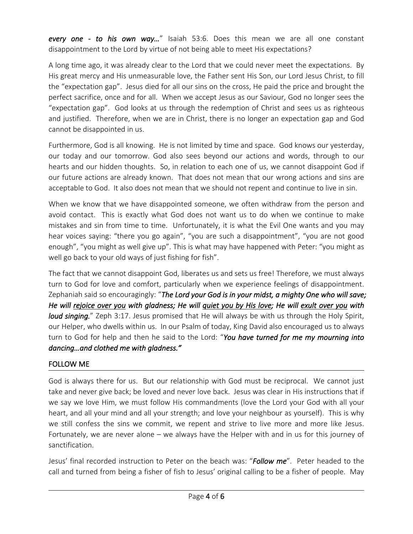*every one - to his own way…*" Isaiah 53:6. Does this mean we are all one constant disappointment to the Lord by virtue of not being able to meet His expectations?

A long time ago, it was already clear to the Lord that we could never meet the expectations. By His great mercy and His unmeasurable love, the Father sent His Son, our Lord Jesus Christ, to fill the "expectation gap". Jesus died for all our sins on the cross, He paid the price and brought the perfect sacrifice, once and for all. When we accept Jesus as our Saviour, God no longer sees the "expectation gap". God looks at us through the redemption of Christ and sees us as righteous and justified. Therefore, when we are in Christ, there is no longer an expectation gap and God cannot be disappointed in us.

Furthermore, God is all knowing. He is not limited by time and space. God knows our yesterday, our today and our tomorrow. God also sees beyond our actions and words, through to our hearts and our hidden thoughts. So, in relation to each one of us, we cannot disappoint God if our future actions are already known. That does not mean that our wrong actions and sins are acceptable to God. It also does not mean that we should not repent and continue to live in sin.

When we know that we have disappointed someone, we often withdraw from the person and avoid contact. This is exactly what God does not want us to do when we continue to make mistakes and sin from time to time. Unfortunately, it is what the Evil One wants and you may hear voices saying: "there you go again", "you are such a disappointment", "you are not good enough", "you might as well give up". This is what may have happened with Peter: "you might as well go back to your old ways of just fishing for fish".

The fact that we cannot disappoint God, liberates us and sets us free! Therefore, we must always turn to God for love and comfort, particularly when we experience feelings of disappointment. Zephaniah said so encouragingly: "*The Lord your God is in your midst, a mighty One who will save;* He will rejoice over you with gladness; He will guiet you by His love; He will exult over you with *loud singing.*" Zeph 3:17. Jesus promised that He will always be with us through the Holy Spirit, our Helper, who dwells within us. In our Psalm of today, King David also encouraged us to always turn to God for help and then he said to the Lord: "*You have turned for me my mourning into dancing…and clothed me with gladness."*

# FOLLOW ME

God is always there for us. But our relationship with God must be reciprocal. We cannot just take and never give back; be loved and never love back. Jesus was clear in His instructions that if we say we love Him, we must follow His commandments (love the Lord your God with all your heart, and all your mind and all your strength; and love your neighbour as yourself). This is why we still confess the sins we commit, we repent and strive to live more and more like Jesus. Fortunately, we are never alone – we always have the Helper with and in us for this journey of sanctification.

Jesus' final recorded instruction to Peter on the beach was: "*Follow me*". Peter headed to the call and turned from being a fisher of fish to Jesus' original calling to be a fisher of people. May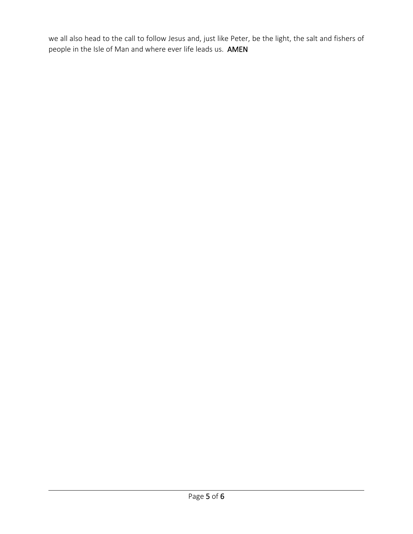we all also head to the call to follow Jesus and, just like Peter, be the light, the salt and fishers of people in the Isle of Man and where ever life leads us. AMEN